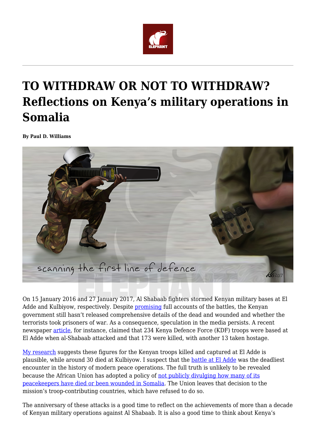

# **TO WITHDRAW OR NOT TO WITHDRAW? Reflections on Kenya's military operations in Somalia**

**By Paul D. Williams**



On 15 January 2016 and 27 January 2017, Al Shabaab fighters stormed Kenyan military bases at El Adde and Kulbiyow, respectively. Despite [promising](http://www.mod.go.ke/wp-content/uploads/2016/01/CDF-press-conference-Elade-21-Jan.pdf) full accounts of the battles, the Kenyan government still hasn't released comprehensive details of the dead and wounded and whether the terrorists took prisoners of war. As a consequence, speculation in the media persists. A recent newspaper [article,](https://www.standardmedia.co.ke/article/2001265769/brave-and-sharp-major-who-led-kdf-to-its-worst-ambush) for instance, claimed that 234 Kenya Defence Force (KDF) troops were based at El Adde when al-Shabaab attacked and that 173 were killed, with another 13 taken hostage.

[My research](https://global.oup.com/academic/product/fighting-for-peace-in-somalia-9780198724544?q=paul%20d%20williams&lang=en&cc=gb) suggests these figures for the Kenyan troops killed and captured at El Adde is plausible, while around 30 died at Kulbiyow. I suspect that the [battle at El Adde](https://www.ipinst.org/2016/07/the-battle-at-el-adde-the-kenya-defence-forces-al-shabaab-and-unanswered-questions) was the deadliest encounter in the history of modern peace operations. The full truth is unlikely to be revealed because the African Union has adopted a policy of [not publicly divulging how many of its](https://theglobalobservatory.org/2015/09/amisom-african-union-somalia-peacekeeping/) [peacekeepers have died or been wounded in Somalia.](https://theglobalobservatory.org/2015/09/amisom-african-union-somalia-peacekeeping/) The Union leaves that decision to the mission's troop-contributing countries, which have refused to do so.

The anniversary of these attacks is a good time to reflect on the achievements of more than a decade of Kenyan military operations against Al Shabaab. It is also a good time to think about Kenya's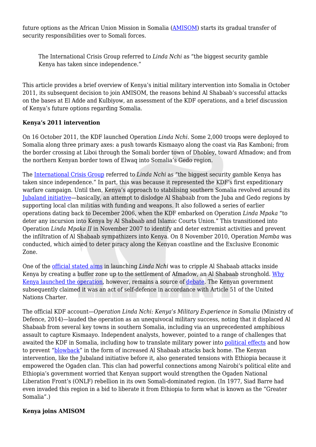future options as the African Union Mission in Somalia [\(AMISOM](http://amisom-au.org/)) starts its gradual transfer of security responsibilities over to Somali forces.

The International Crisis Group referred to *Linda Nchi* as "the biggest security gamble Kenya has taken since independence."

This article provides a brief overview of Kenya's initial military intervention into Somalia in October 2011, its subsequent decision to join AMISOM, the reasons behind Al Shabaab's successful attacks on the bases at El Adde and Kulbiyow, an assessment of the KDF operations, and a brief discussion of Kenya's future options regarding Somalia.

## **Kenya's 2011 intervention**

On 16 October 2011, the KDF launched Operation *Linda Nchi*. Some 2,000 troops were deployed to Somalia along three primary axes: a push towards Kismaayo along the coast via Ras Kamboni; from the border crossing at Liboi through the Somali border town of Dhobley, toward Afmadow; and from the northern Kenyan border town of Elwaq into Somalia's Gedo region.

The [International Crisis Group](https://www.crisisgroup.org/africa/horn-africa/kenya/kenyan-military-intervention-somalia) referred to *Linda Nchi* as "the biggest security gamble Kenya has taken since independence." In part, this was because it represented the KDF's first expeditionary warfare campaign. Until then, Kenya's approach to stabilising southern Somalia revolved around its [Jubaland initiative](http://www.tandfonline.com/doi/abs/10.1080/09744053.2016.1186867?src=recsys&journalCode=rafr20)—basically, an attempt to dislodge Al Shabaab from the Juba and Gedo regions by supporting local clan militias with funding and weapons. It also followed a series of earlier operations dating back to December 2006, when the KDF embarked on Operation *Linda Mpaka* "to deter any incursion into Kenya by Al Shabaab and Islamic Courts Union." This transitioned into Operation *Linda Mpaka II* in November 2007 to identify and deter extremist activities and prevent the infiltration of Al Shabaab sympathizers into Kenya. On 8 November 2010, Operation *Mamba* was conducted, which aimed to deter piracy along the Kenyan coastline and the Exclusive Economic Zone.

One of the [official stated aims](http://www.securitycouncilreport.org/atf/cf/%7B65BFCF9B-6D27-4E9C-8CD3-CF6E4FF96FF9%7D/Somalia%20S%202011%20646.pdf) in launching *Linda Nchi* was to cripple Al Shabaab attacks inside Kenya by creating a buffer zone up to the settlement of Afmadow, an Al Shabaab stronghold. [Why](https://www.foreignaffairs.com/articles/africa/2011-11-15/why-kenya-invaded-somalia) [Kenya launched the operation](https://www.foreignaffairs.com/articles/africa/2011-11-15/why-kenya-invaded-somalia), however, remains a source of [debate](http://www.tandfonline.com/doi/full/10.1080/02589001.2017.1408953). The Kenyan government subsequently claimed it was an act of self-defence in accordance with Article 51 of the United Nations Charter.

The official KDF account—*Operation Linda Nchi: Kenya's Military Experience in Somalia* (Ministry of Defence, 2014)—lauded the operation as an unequivocal military success, noting that it displaced Al Shabaab from several key towns in southern Somalia, including via an unprecedented amphibious assault to capture Kismaayo. Independent analysts, however, pointed to a range of challenges that awaited the KDF in Somalia, including how to translate military power into [political effects](http://cco.ndu.edu/Portals/96/Documents/prism/prism_3-3/prism105-118_warner.pdf) and how to prevent "[blowback](https://academic.oup.com/afraf/article/114/454/1/2195212)" in the form of increased Al Shabaab attacks back home. The Kenyan intervention, like the Jubaland initiative before it, also generated tensions with Ethiopia because it empowered the Ogaden clan. This clan had powerful connections among Nairobi's political elite and Ethiopia's government worried that Kenyan support would strengthen the Ogaden National Liberation Front's (ONLF) rebellion in its own Somali-dominated region. (In 1977, Siad Barre had even invaded this region in a bid to liberate it from Ethiopia to form what is known as the "Greater Somalia".)

# **Kenya joins AMISOM**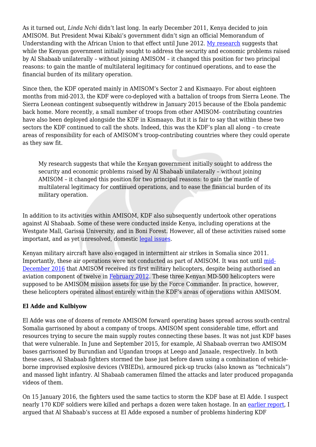As it turned out, *Linda Nchi* didn't last long. In early December 2011, Kenya decided to join AMISOM. But President Mwai Kibaki's government didn't sign an official Memorandum of Understanding with the African Union to that effect until June 2012. [My research](http://www.tandfonline.com/doi/abs/10.1080/17531055.2018.1418159?journalCode=rjea20) suggests that while the Kenyan government initially sought to address the security and economic problems raised by Al Shabaab unilaterally – without joining AMISOM – it changed this position for two principal reasons: to gain the mantle of multilateral legitimacy for continued operations, and to ease the financial burden of its military operation.

Since then, the KDF operated mainly in AMISOM's Sector 2 and Kismaayo. For about eighteen months from mid-2013, the KDF were co-deployed with a battalion of troops from Sierra Leone. The Sierra Leonean contingent subsequently withdrew in January 2015 because of the Ebola pandemic back home. More recently, a small number of troops from other AMISOM- contributing countries have also been deployed alongside the KDF in Kismaayo. But it is fair to say that within these two sectors the KDF continued to call the shots. Indeed, this was the KDF's plan all along – to create areas of responsibility for each of AMISOM's troop-contributing countries where they could operate as they saw fit.

My research suggests that while the Kenyan government initially sought to address the security and economic problems raised by Al Shabaab unilaterally – without joining AMISOM – it changed this position for two principal reasons: to gain the mantle of multilateral legitimacy for continued operations, and to ease the financial burden of its military operation.

In addition to its activities within AMISOM, KDF also subsequently undertook other operations against Al Shabaab. Some of these were conducted inside Kenya, including operations at the Westgate Mall, Garissa University, and in Boni Forest. However, all of these activities raised some important, and as yet unresolved, domestic [legal issues](https://lawfareblog.com/mapping-legal-contours-internal-deployment-military-forces-kenya).

Kenyan military aircraft have also engaged in intermittent air strikes in Somalia since 2011. Importantly, these air operations were not conducted as part of AMISOM. It was not until [mid-](http://undocs.org/S/2017/21)[December 2016](http://undocs.org/S/2017/21) that AMISOM received its first military helicopters, despite being authorised an aviation component of twelve in [February 2012.](http://www.un.org/press/en/2012/sc10550.doc.htm) These three Kenyan MD-500 helicopters were supposed to be AMISOM mission assets for use by the Force Commander. In practice, however, these helicopters operated almost entirely within the KDF's areas of operations within AMISOM.

## **El Adde and Kulbiyow**

El Adde was one of dozens of remote AMISOM forward operating bases spread across south-central Somalia garrisoned by about a company of troops. AMISOM spent considerable time, effort and resources trying to secure the main supply routes connecting these bases. It was not just KDF bases that were vulnerable. In June and September 2015, for example, Al Shabaab overran two AMISOM bases garrisoned by Burundian and Ugandan troops at Leego and Janaale, respectively. In both these cases, Al Shabaab fighters stormed the base just before dawn using a combination of vehicleborne improvised explosive devices (VBIEDs), armoured pick-up trucks (also known as "technicals") and massed light infantry. Al Shabaab cameramen filmed the attacks and later produced propaganda videos of them.

On 15 January 2016, the fighters used the same tactics to storm the KDF base at El Adde. I suspect nearly 170 KDF soldiers were killed and perhaps a dozen were taken hostage. In an [earlier report](https://www.ipinst.org/2016/07/the-battle-at-el-adde-the-kenya-defence-forces-al-shabaab-and-unanswered-questions), I argued that Al Shabaab's success at El Adde exposed a number of problems hindering KDF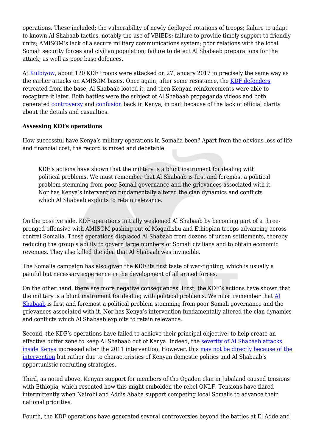operations. These included: the vulnerability of newly deployed rotations of troops; failure to adapt to known Al Shabaab tactics, notably the use of VBIEDs; failure to provide timely support to friendly units; AMISOM's lack of a secure military communications system; poor relations with the local Somali security forces and civilian population; failure to detect Al Shabaab preparations for the attack; as well as poor base defences.

At [Kulbiyow](https://www.bellingcat.com/news/africa/2017/03/21/happened-kulbiyow-somalia-open-source-investigation/), about 120 KDF troops were attacked on 27 January 2017 in precisely the same way as the earlier attacks on AMISOM bases. Once again, after some resistance, the [KDF defenders](https://www.africandefence.net/analysis-of-competing-claims-about-the-january-2017-al-shabaab-attack-on-the-kdf-base-at-kulbiyow/) retreated from the base, Al Shabaab looted it, and then Kenyan reinforcements were able to recapture it later. Both battles were the subject of Al Shabaab propaganda videos and both generated [controversy](http://gathara.blogspot.com/2017/02/death-lies-and-videotape-why-kdf-must.html) and [confusion](https://www.the-star.co.ke/news/2017/02/06/do-kulbiyow-attack-numbers-matter_c1499197) back in Kenya, in part because of the lack of official clarity about the details and casualties.

#### **Assessing KDFs operations**

How successful have Kenya's military operations in Somalia been? Apart from the obvious loss of life and financial cost, the record is mixed and debatable.

KDF's actions have shown that the military is a blunt instrument for dealing with political problems. We must remember that Al Shabaab is first and foremost a political problem stemming from poor Somali governance and the grievances associated with it. Nor has Kenya's intervention fundamentally altered the clan dynamics and conflicts which Al Shabaab exploits to retain relevance.

On the positive side, KDF operations initially weakened Al Shabaab by becoming part of a threepronged offensive with AMISOM pushing out of Mogadishu and Ethiopian troops advancing across central Somalia. These operations displaced Al Shabaab from dozens of urban settlements, thereby reducing the group's ability to govern large numbers of Somali civilians and to obtain economic revenues. They also killed the idea that Al Shabaab was invincible.

The Somalia campaign has also given the KDF its first taste of war-fighting, which is usually a painful but necessary experience in the development of all armed forces.

On the other hand, there are more negative consequences. First, the KDF's actions have shown that the military is a blunt instrument for dealing with political problems. We must remember that [Al](http://www.hurstpublishers.com/book/al-shabaab-in-somalia/) [Shabaab](http://www.hurstpublishers.com/book/al-shabaab-in-somalia/) is first and foremost a political problem stemming from poor Somali governance and the grievances associated with it. Nor has Kenya's intervention fundamentally altered the clan dynamics and conflicts which Al Shabaab exploits to retain relevance.

Second, the KDF's operations have failed to achieve their principal objective: to help create an effective buffer zone to keep Al Shabaab out of Kenya. Indeed, the [severity of Al Shabaab attacks](http://www.crisis.acleddata.com/al-shabaab-in-kenya-august-2015-update/) [inside Kenya](http://www.crisis.acleddata.com/al-shabaab-in-kenya-august-2015-update/) increased after the 2011 intervention. However, this [may not be directly because of the](http://www.tandfonline.com/doi/abs/10.1080/09546553.2017.1290607) [intervention](http://www.tandfonline.com/doi/abs/10.1080/09546553.2017.1290607) but rather due to characteristics of Kenyan domestic politics and Al Shabaab's opportunistic recruiting strategies.

Third, as noted above, Kenyan support for members of the Ogaden clan in Jubaland caused tensions with Ethiopia, which resented how this might embolden the rebel ONLF. Tensions have flared intermittently when Nairobi and Addis Ababa support competing local Somalis to advance their national priorities.

Fourth, the KDF operations have generated several controversies beyond the battles at El Adde and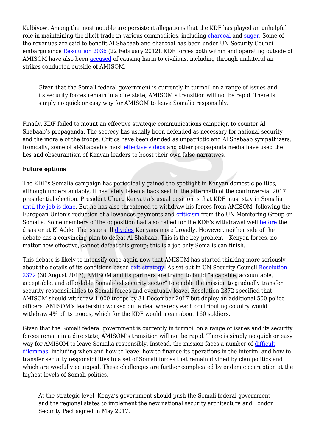Kulbiyow. Among the most notable are persistent allegations that the KDF has played an unhelpful role in maintaining the illicit trade in various commodities, including [charcoal](https://reliefweb.int/report/somalia/report-monitoring-group-somalia-and-eritrea-pursuant-security-council-resolution-2060) and [sugar](http://www.jfjustice.net/downloads/1457660562.pdf). Some of the revenues are said to benefit Al Shabaab and charcoal has been under UN Security Council embargo since [Resolution 2036](http://www.un.org/press/en/2012/sc10550.doc.htm) (22 February 2012). KDF forces both within and operating outside of AMISOM have also been [accused](https://unsom.unmissions.org/sites/default/files/protection_of_civilians_report_20171210.pdf) of causing harm to civilians, including through unilateral air strikes conducted outside of AMISOM.

Given that the Somali federal government is currently in turmoil on a range of issues and its security forces remain in a dire state, AMISOM's transition will not be rapid. There is simply no quick or easy way for AMISOM to leave Somalia responsibly.

Finally, KDF failed to mount an effective strategic communications campaign to counter Al Shabaab's propaganda. The secrecy has usually been defended as necessary for national security and the morale of the troops. Critics have been derided as unpatriotic and Al Shabaab sympathizers. Ironically, some of al-Shabaab's most [effective videos](https://www.hate-speech.org/wp-content/uploads/2016/11/shababreport.pdf) and other propaganda media have used the lies and obscurantism of Kenyan leaders to boost their own false narratives.

#### **Future options**

The KDF's Somalia campaign has periodically gained the spotlight in Kenyan domestic politics, although understandably, it has lately taken a back seat in the aftermath of the controversial 2017 presidential election. President Uhuru Kenyatta's usual position is that KDF must stay in Somalia [until the job is done.](https://www.standardmedia.co.ke/article/2000125710/uhuru-kenyatta-kdf-will-stay-in-somalia-until-job-is-done) But he has also threatened to withdraw his forces from AMISOM, following the European Union's reduction of allowances payments and [criticism](http://www.nation.co.ke/news/Kenya-threatens-to-pull-troops-out-of-Somalia/1056-3213588-lpjxwm/index.html) from the UN Monitoring Group on Somalia. Some members of the opposition had also called for the KDF's withdrawal well [before](https://issafrica.org/iss-today/kenyas-dilemma-in-somalia-to-withdraw-or-not-to-withdraw) the disaster at El Adde. The issue still [divides](http://www.nation.co.ke/news/Talk-of-KDF-withdrawal-from-Somalia-still-rages-on/1056-3410044-ip9049/index.html) Kenyans more broadly. However, neither side of the debate has a convincing plan to defeat Al Shabaab. This is the key problem – Kenyan forces, no matter how effective, cannot defeat this group; this is a job only Somalis can finish.

This debate is likely to intensify once again now that AMISOM has started thinking more seriously about the details of its conditions-based [exit strategy](http://www.peaceau.org/uploads/ll-eng-1.pdf). As set out in UN Security Council [Resolution](https://www.un.org/press/en/2017/sc12972.doc.htm) [2372](https://www.un.org/press/en/2017/sc12972.doc.htm) (30 August 2017), AMISOM and its partners are trying to build "a capable, accountable, acceptable, and affordable Somali-led security sector" to enable the mission to gradually transfer security responsibilities to Somali forces and eventually leave. Resolution 2372 specified that AMISOM should withdraw 1,000 troops by 31 December 2017 but deploy an additional 500 police officers. AMISOM's leadership worked out a deal whereby each contributing country would withdraw 4% of its troops, which for the KDF would mean about 160 soldiers.

Given that the Somali federal government is currently in turmoil on a range of issues and its security forces remain in a dire state, AMISOM's transition will not be rapid. There is simply no quick or easy way for AMISOM to leave Somalia responsibly. Instead, the mission faces a number of [difficult](https://www.washingtonpost.com/news/monkey-cage/wp/2017/11/30/somalias-african-union-mission-has-a-new-exit-strategy-but-can-troops-actually-exit/?utm_term=.3c8e2f2674a3) [dilemmas,](https://www.washingtonpost.com/news/monkey-cage/wp/2017/11/30/somalias-african-union-mission-has-a-new-exit-strategy-but-can-troops-actually-exit/?utm_term=.3c8e2f2674a3) including when and how to leave, how to finance its operations in the interim, and how to transfer security responsibilities to a set of Somali forces that remain divided by clan politics and which are woefully equipped. These challenges are further complicated by endemic corruption at the highest levels of Somali politics.

At the strategic level, Kenya's government should push the Somali federal government and the regional states to implement the new national security architecture and London Security Pact signed in May 2017.